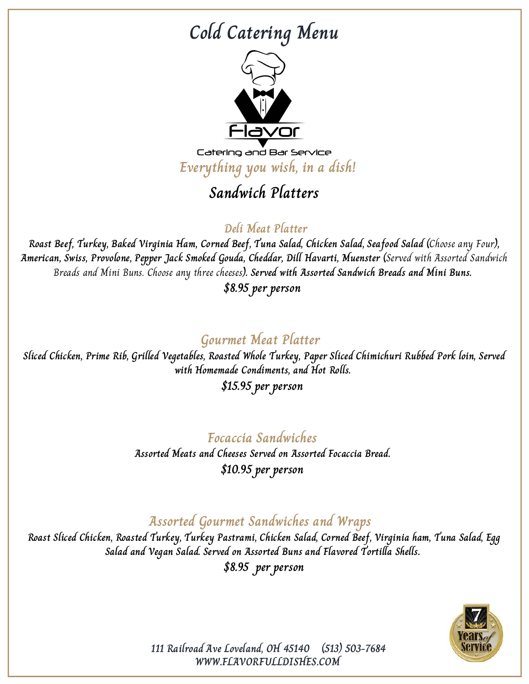## **Cold Catering Menu**



Catering and Bar Service **Everything you wish, in a dish!**

## **Sandwich Platters**

#### **Deli Meat Platter**

**Roast Beef, Turkey, Baked Virginia Ham, Corned Beef, Tuna Salad, Chicken Salad, Seafood Salad (**Choose any Four**), American, Swiss, Provolone, Pepper Jack Smoked Gouda, Cheddar, Dill Havarti, Muenster (**Served with Assorted Sandwich Breads and Mini Buns. Choose any three cheeses**). Served with Assorted Sandwich Breads and Mini Buns.**

**\$8.95 per person**

### **Gourmet Meat Platter**

**Sliced Chicken, Prime Rib, Grilled Vegetables, Roasted Whole Turkey, Paper Sliced Chimichuri Rubbed Pork loin, Served with Homemade Condiments, and Hot Rolls.**

**\$15.95 per person**

#### **Focaccia Sandwiches**

**Assorted Meats and Cheeses Served on Assorted Focaccia Bread. \$10.95 per person**

#### **Assorted Gourmet Sandwiches and Wraps**

**Roast Sliced Chicken, Roasted Turkey, Turkey Pastrami, Chicken Salad, Corned Beef, Virginia ham, Tuna Salad, Egg Salad and Vegan Salad. Served on Assorted Buns and Flavored Tortilla Shells. \$8.95 per person**



**WWW.FLAVORFULLDISHES.COM 111 Railroad Ave Loveland, OH 45140 (513) 503-7684**